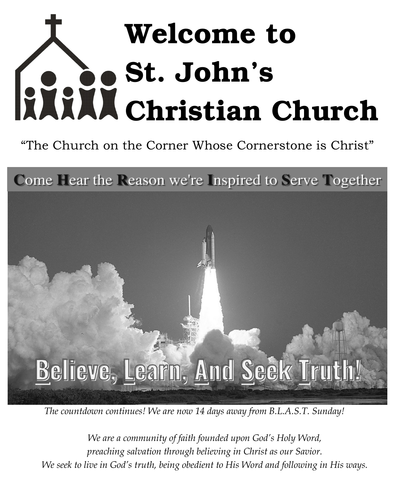# Welcome to St. John's Christian Church

"The Church on the Corner Whose Cornerstone is Christ"

Come Hear the Reason we're Inspired to Serve Together



*The countdown continues! We are now 14 days away from B.L.A.S.T. Sunday!* 

*We are a community of faith founded upon God's Holy Word, preaching salvation through believing in Christ as our Savior. We seek to live in God's truth, being obedient to His Word and following in His ways.*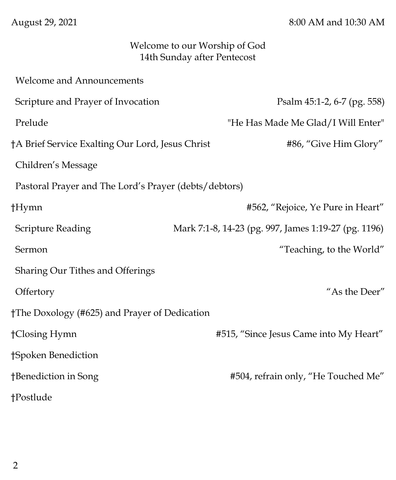August 29, 2021 8:00 AM and 10:30 AM

## Welcome to our Worship of God 14th Sunday after Pentecost

| <b>Welcome and Announcements</b>                      |                                                      |
|-------------------------------------------------------|------------------------------------------------------|
| Scripture and Prayer of Invocation                    | Psalm 45:1-2, 6-7 (pg. 558)                          |
| Prelude                                               | "He Has Made Me Glad/I Will Enter"                   |
| †A Brief Service Exalting Our Lord, Jesus Christ      | #86, "Give Him Glory"                                |
| Children's Message                                    |                                                      |
| Pastoral Prayer and The Lord's Prayer (debts/debtors) |                                                      |
| †Hymn                                                 | #562, "Rejoice, Ye Pure in Heart"                    |
| <b>Scripture Reading</b>                              | Mark 7:1-8, 14-23 (pg. 997, James 1:19-27 (pg. 1196) |
| Sermon                                                | "Teaching, to the World"                             |
| Sharing Our Tithes and Offerings                      |                                                      |
| Offertory                                             | "As the Deer"                                        |
| †The Doxology (#625) and Prayer of Dedication         |                                                      |
| †Closing Hymn                                         | #515, "Since Jesus Came into My Heart"               |
| †Spoken Benediction                                   |                                                      |
| †Benediction in Song                                  | #504, refrain only, "He Touched Me"                  |
| †Postlude                                             |                                                      |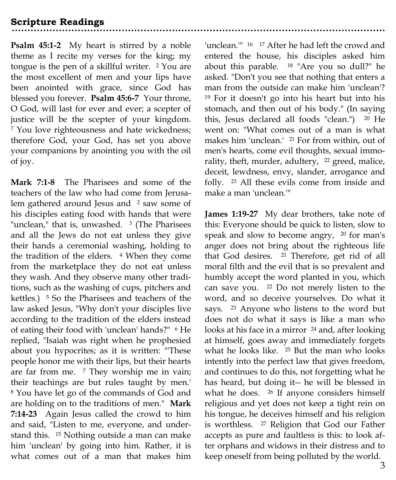**Psalm 45:1-2** My heart is stirred by a noble theme as I recite my verses for the king; my tongue is the pen of a skillful writer. <sup>2</sup> You are the most excellent of men and your lips have been anointed with grace, since God has blessed you forever. **Psalm 45:6-7** Your throne, O God, will last for ever and ever; a scepter of justice will be the scepter of your kingdom. <sup>7</sup> You love righteousness and hate wickedness; therefore God, your God, has set you above your companions by anointing you with the oil of joy.

**Mark 7:1-8** The Pharisees and some of the teachers of the law who had come from Jerusalem gathered around Jesus and <sup>2</sup> saw some of his disciples eating food with hands that were "unclean," that is, unwashed. <sup>3</sup> (The Pharisees and all the Jews do not eat unless they give their hands a ceremonial washing, holding to the tradition of the elders. <sup>4</sup> When they come from the marketplace they do not eat unless they wash. And they observe many other traditions, such as the washing of cups, pitchers and kettles.) <sup>5</sup> So the Pharisees and teachers of the law asked Jesus, "Why don't your disciples live according to the tradition of the elders instead of eating their food with 'unclean' hands?" <sup>6</sup> He replied, "Isaiah was right when he prophesied about you hypocrites; as it is written: "'These people honor me with their lips, but their hearts are far from me. <sup>7</sup> They worship me in vain; their teachings are but rules taught by men.' <sup>8</sup> You have let go of the commands of God and are holding on to the traditions of men." **Mark 7:14-23** Again Jesus called the crowd to him and said, "Listen to me, everyone, and understand this. <sup>15</sup> Nothing outside a man can make him 'unclean' by going into him. Rather, it is what comes out of a man that makes him

'unclean.'" <sup>16</sup> <sup>17</sup> After he had left the crowd and entered the house, his disciples asked him about this parable. <sup>18</sup> "Are you so dull?" he asked. "Don't you see that nothing that enters a man from the outside can make him 'unclean'? <sup>19</sup> For it doesn't go into his heart but into his stomach, and then out of his body." (In saying this, Jesus declared all foods "clean.") <sup>20</sup> He went on: "What comes out of a man is what makes him 'unclean.' <sup>21</sup> For from within, out of men's hearts, come evil thoughts, sexual immorality, theft, murder, adultery, <sup>22</sup> greed, malice, deceit, lewdness, envy, slander, arrogance and folly. <sup>23</sup> All these evils come from inside and make a man 'unclean.'"

**James 1:19-27** My dear brothers, take note of this: Everyone should be quick to listen, slow to speak and slow to become angry, <sup>20</sup> for man's anger does not bring about the righteous life that God desires. <sup>21</sup> Therefore, get rid of all moral filth and the evil that is so prevalent and humbly accept the word planted in you, which can save you. <sup>22</sup> Do not merely listen to the word, and so deceive yourselves. Do what it says. <sup>23</sup> Anyone who listens to the word but does not do what it says is like a man who looks at his face in a mirror <sup>24</sup> and, after looking at himself, goes away and immediately forgets what he looks like. <sup>25</sup> But the man who looks intently into the perfect law that gives freedom, and continues to do this, not forgetting what he has heard, but doing it-- he will be blessed in what he does. <sup>26</sup> If anyone considers himself religious and yet does not keep a tight rein on his tongue, he deceives himself and his religion is worthless. <sup>27</sup> Religion that God our Father accepts as pure and faultless is this: to look after orphans and widows in their distress and to keep oneself from being polluted by the world.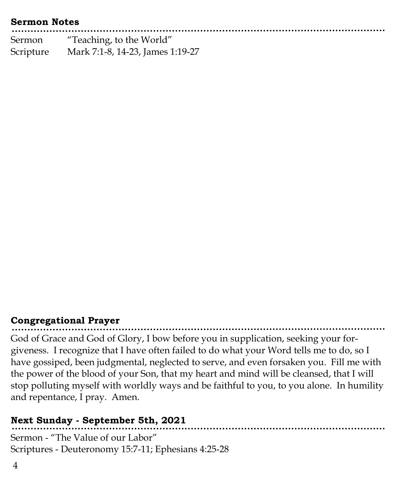#### **Sermon Notes**

| Sermon    | "Teaching, to the World"         |  |
|-----------|----------------------------------|--|
| Scripture | Mark 7:1-8, 14-23, James 1:19-27 |  |

## **Congregational Prayer**

God of Grace and God of Glory, I bow before you in supplication, seeking your forgiveness. I recognize that I have often failed to do what your Word tells me to do, so I have gossiped, been judgmental, neglected to serve, and even forsaken you. Fill me with the power of the blood of your Son, that my heart and mind will be cleansed, that I will stop polluting myself with worldly ways and be faithful to you, to you alone. In humility and repentance, I pray. Amen.

.......................

## **Next Sunday - September 5th, 2021**

Sermon - "The Value of our Labor" Scriptures - Deuteronomy 15:7-11; Ephesians 4:25-28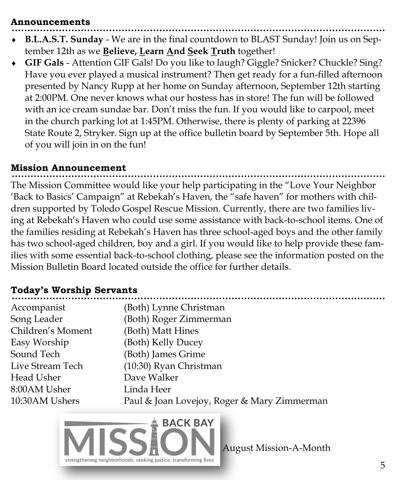#### **Announcements**

- **B.L.A.S.T. Sunday**  We are in the final countdown to BLAST Sunday! Join us on September 12th as we **Believe, Learn And Seek Truth** together!
- **GIF Gals**  Attention GIF Gals! Do you like to laugh? Giggle? Snicker? Chuckle? Sing? Have you ever played a musical instrument? Then get ready for a fun-filled afternoon presented by Nancy Rupp at her home on Sunday afternoon, September 12th starting at 2:00PM. One never knows what our hostess has in store! The fun will be followed with an ice cream sundae bar. Don't miss the fun. If you would like to carpool, meet in the church parking lot at 1:45PM. Otherwise, there is plenty of parking at 22396 State Route 2, Stryker. Sign up at the office bulletin board by September 5th. Hope all of you will join in on the fun!

#### **Mission Announcement**

The Mission Committee would like your help participating in the "Love Your Neighbor 'Back to Basics' Campaign" at Rebekah's Haven, the "safe haven" for mothers with children supported by Toledo Gospel Rescue Mission. Currently, there are two families living at Rebekah's Haven who could use some assistance with back-to-school items. One of the families residing at Rebekah's Haven has three school-aged boys and the other family has two school-aged children, boy and a girl. If you would like to help provide these families with some essential back-to-school clothing, please see the information posted on the Mission Bulletin Board located outside the office for further details.

## **Today's Worship Servants**

| Accompanist       | (Both) Lynne Christman                      |
|-------------------|---------------------------------------------|
| Song Leader       | (Both) Roger Zimmerman                      |
| Children's Moment | (Both) Matt Hines                           |
| Easy Worship      | (Both) Kelly Ducey                          |
| Sound Tech        | (Both) James Grime                          |
| Live Stream Tech  | (10:30) Ryan Christman                      |
| Head Usher        | Dave Walker                                 |
| 8:00AM Usher      | Linda Heer                                  |
| 10:30AM Ushers    | Paul & Joan Lovejoy, Roger & Mary Zimmerman |
|                   |                                             |



August Mission-A-Month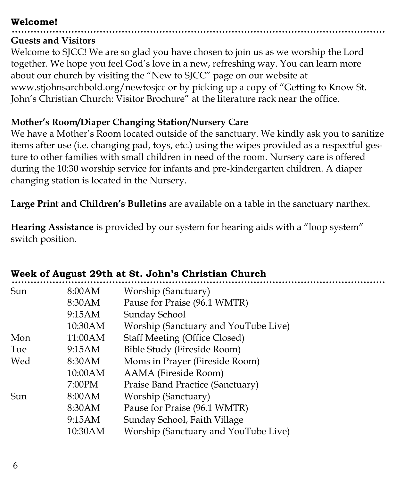## **Welcome!**

## **Guests and Visitors**

Welcome to SJCC! We are so glad you have chosen to join us as we worship the Lord together. We hope you feel God's love in a new, refreshing way. You can learn more about our church by visiting the "New to SJCC" page on our website at www.stjohnsarchbold.org/newtosjcc or by picking up a copy of "Getting to Know St. John's Christian Church: Visitor Brochure" at the literature rack near the office.

## **Mother's Room/Diaper Changing Station/Nursery Care**

We have a Mother's Room located outside of the sanctuary. We kindly ask you to sanitize items after use (i.e. changing pad, toys, etc.) using the wipes provided as a respectful gesture to other families with small children in need of the room. Nursery care is offered during the 10:30 worship service for infants and pre-kindergarten children. A diaper changing station is located in the Nursery.

**Large Print and Children's Bulletins** are available on a table in the sanctuary narthex.

**Hearing Assistance** is provided by our system for hearing aids with a "loop system" switch position.

| Sun           | 8:00AM  | Worship (Sanctuary)                  |
|---------------|---------|--------------------------------------|
|               | 8:30AM  | Pause for Praise (96.1 WMTR)         |
|               | 9:15AM  | Sunday School                        |
|               | 10:30AM | Worship (Sanctuary and YouTube Live) |
| Mon           | 11:00AM | <b>Staff Meeting (Office Closed)</b> |
| Tue           | 9:15AM  | Bible Study (Fireside Room)          |
| Wed<br>8:30AM |         | Moms in Prayer (Fireside Room)       |
|               | 10:00AM | AAMA (Fireside Room)                 |
|               | 7:00PM  | Praise Band Practice (Sanctuary)     |
| Sun           | 8:00AM  | Worship (Sanctuary)                  |
|               | 8:30AM  | Pause for Praise (96.1 WMTR)         |
|               | 9:15AM  | Sunday School, Faith Village         |
|               | 10:30AM | Worship (Sanctuary and YouTube Live) |
|               |         |                                      |

# **Week of August 29th at St. John's Christian Church**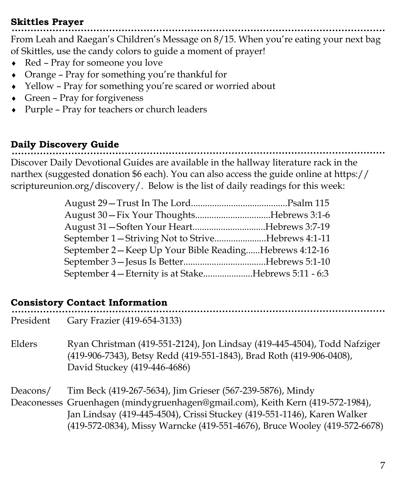## **Skittles Prayer**

From Leah and Raegan's Children's Message on 8/15. When you're eating your next bag of Skittles, use the candy colors to guide a moment of prayer!

- Red Pray for someone you love
- Orange Pray for something you're thankful for
- Yellow Pray for something you're scared or worried about
- Green Pray for forgiveness
- Purple Pray for teachers or church leaders

# **Daily Discovery Guide**

Discover Daily Devotional Guides are available in the hallway literature rack in the narthex (suggested donation \$6 each). You can also access the guide online at https:// scriptureunion.org/discovery/. Below is the list of daily readings for this week:

| August 31 – Soften Your HeartHebrews 3:7-19           |  |
|-------------------------------------------------------|--|
| September 1-Striving Not to StriveHebrews 4:1-11      |  |
| September 2-Keep Up Your Bible ReadingHebrews 4:12-16 |  |
|                                                       |  |
| September 4 – Eternity is at StakeHebrews 5:11 - 6:3  |  |

## **Consistory Contact Information**

President Gary Frazier (419-654-3133)

Elders Ryan Christman (419-551-2124), Jon Lindsay (419-445-4504), Todd Nafziger (419-906-7343), Betsy Redd (419-551-1843), Brad Roth (419-906-0408), David Stuckey (419-446-4686)

Deacons/ Tim Beck (419-267-5634), Jim Grieser (567-239-5876), Mindy Deaconesses Gruenhagen (mindygruenhagen@gmail.com), Keith Kern (419-572-1984), Jan Lindsay (419-445-4504), Crissi Stuckey (419-551-1146), Karen Walker (419-572-0834), Missy Warncke (419-551-4676), Bruce Wooley (419-572-6678)